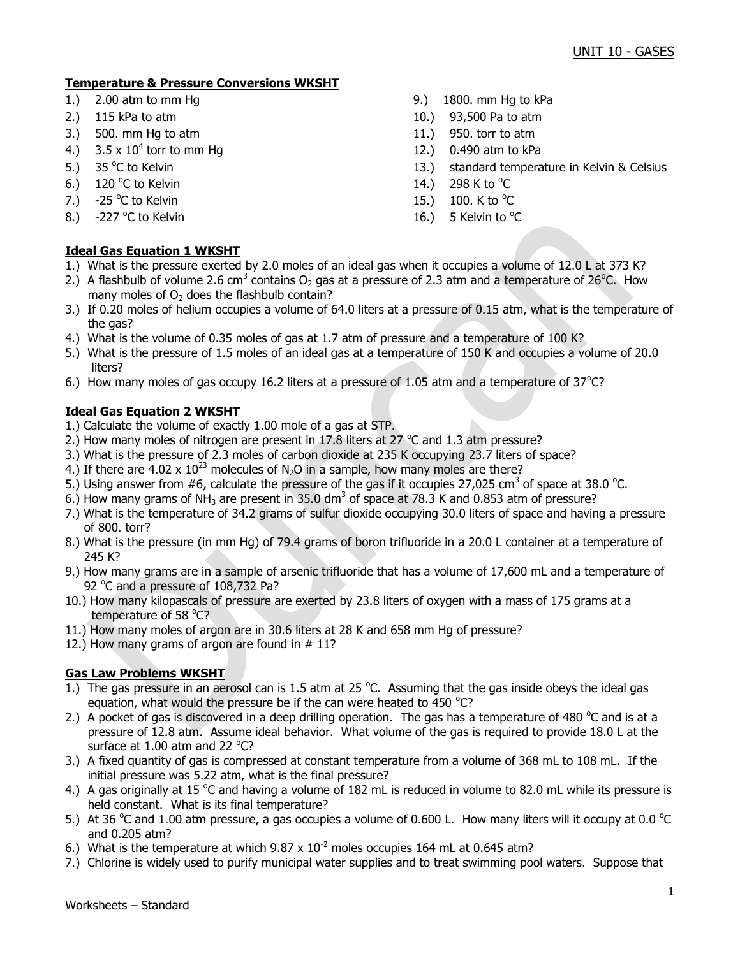# **Temperature & Pressure Conversions WKSHT**

- 
- 
- 3.) 500. mm Hg to atm 11.) 950. torr to atm
- 4.)  $3.5 \times 10^4$  torr to mm Hg
- 5.)  $35^{\circ}$ C to Kelvin
- 6.) 120 °C to Kelvin  $14.$ ) 298 K to  $^{\circ}$
- 7.)  $-25$  °C to Kelvin
- 8.)  $-227$  °C to Kelvin

# **Ideal Gas Equation 1 WKSHT**

- 1.) 2.00 atm to mm Hg 9. atm to mm Hg 5.00 atm to mm Hg to kPa
- 2.) 115 kPa to atm 10.) 93,500 Pa to atm
	-
	- 12.) 0.490 atm to kPa
	- 13.) standard temperature in Kelvin & Celsius
	- 298 K to  $^{\circ}$ C
	- C to Kelvin  $15.$ )  $100.$  K to  $^{\circ}$ C
	- C to Kelvin  $\sim$  2008  $\sim$  16.) 5 Kelvin to  $\rm ^oC$
- 1.) What is the pressure exerted by 2.0 moles of an ideal gas when it occupies a volume of 12.0 L at 373 K?
- 2.) A flashbulb of volume 2.6 cm<sup>3</sup> contains O<sub>2</sub> gas at a pressure of 2.3 atm and a temperature of 26<sup>o</sup>C. How many moles of  $O<sub>2</sub>$  does the flashbulb contain?
- 3.) If 0.20 moles of helium occupies a volume of 64.0 liters at a pressure of 0.15 atm, what is the temperature of the gas?
- 4.) What is the volume of 0.35 moles of gas at 1.7 atm of pressure and a temperature of 100 K?
- 5.) What is the pressure of 1.5 moles of an ideal gas at a temperature of 150 K and occupies a volume of 20.0 liters?
- 6.) How many moles of gas occupy 16.2 liters at a pressure of 1.05 atm and a temperature of  $37^{\circ}$ C?

# **Ideal Gas Equation 2 WKSHT**

- 1.) Calculate the volume of exactly 1.00 mole of a gas at STP.
- 2.) How many moles of nitrogen are present in 17.8 liters at 27  $^{\circ}$ C and 1.3 atm pressure?
- 3.) What is the pressure of 2.3 moles of carbon dioxide at 235 K occupying 23.7 liters of space?
- 4.) If there are 4.02 x  $10^{23}$  molecules of N<sub>2</sub>O in a sample, how many moles are there?
- 5.) Using answer from #6, calculate the pressure of the gas if it occupies 27,025 cm<sup>3</sup> of space at 38.0 °C.
- 6.) How many grams of NH<sub>3</sub> are present in 35.0 dm<sup>3</sup> of space at 78.3 K and 0.853 atm of pressure?
- 7.) What is the temperature of 34.2 grams of sulfur dioxide occupying 30.0 liters of space and having a pressure of 800. torr?
- 8.) What is the pressure (in mm Hg) of 79.4 grams of boron trifluoride in a 20.0 L container at a temperature of 245 K?
- 9.) How many grams are in a sample of arsenic trifluoride that has a volume of 17,600 mL and a temperature of 92 °C and a pressure of 108,732 Pa?
- 10.) How many kilopascals of pressure are exerted by 23.8 liters of oxygen with a mass of 175 grams at a temperature of 58 °C?
- 11.) How many moles of argon are in 30.6 liters at 28 K and 658 mm Hg of pressure?
- 12.) How many grams of argon are found in # 11?

# **Gas Law Problems WKSHT**

- 1.) The gas pressure in an aerosol can is 1.5 atm at 25  $^{\circ}$ C. Assuming that the gas inside obeys the ideal gas equation, what would the pressure be if the can were heated to 450  $^{\circ}$ C?
- 2.) A pocket of gas is discovered in a deep drilling operation. The gas has a temperature of 480  $^{\circ}$ C and is at a pressure of 12.8 atm. Assume ideal behavior. What volume of the gas is required to provide 18.0 L at the surface at  $1.00$  atm and 22  $^{\circ}$ C?
- 3.) A fixed quantity of gas is compressed at constant temperature from a volume of 368 mL to 108 mL. If the initial pressure was 5.22 atm, what is the final pressure?
- 4.) A gas originally at 15 °C and having a volume of 182 mL is reduced in volume to 82.0 mL while its pressure is held constant. What is its final temperature?
- 5.) At 36 °C and 1.00 atm pressure, a gas occupies a volume of 0.600 L. How many liters will it occupy at 0.0 °C and 0.205 atm?
- 6.) What is the temperature at which  $9.87 \times 10^{-2}$  moles occupies 164 mL at 0.645 atm?
- 7.) Chlorine is widely used to purify municipal water supplies and to treat swimming pool waters. Suppose that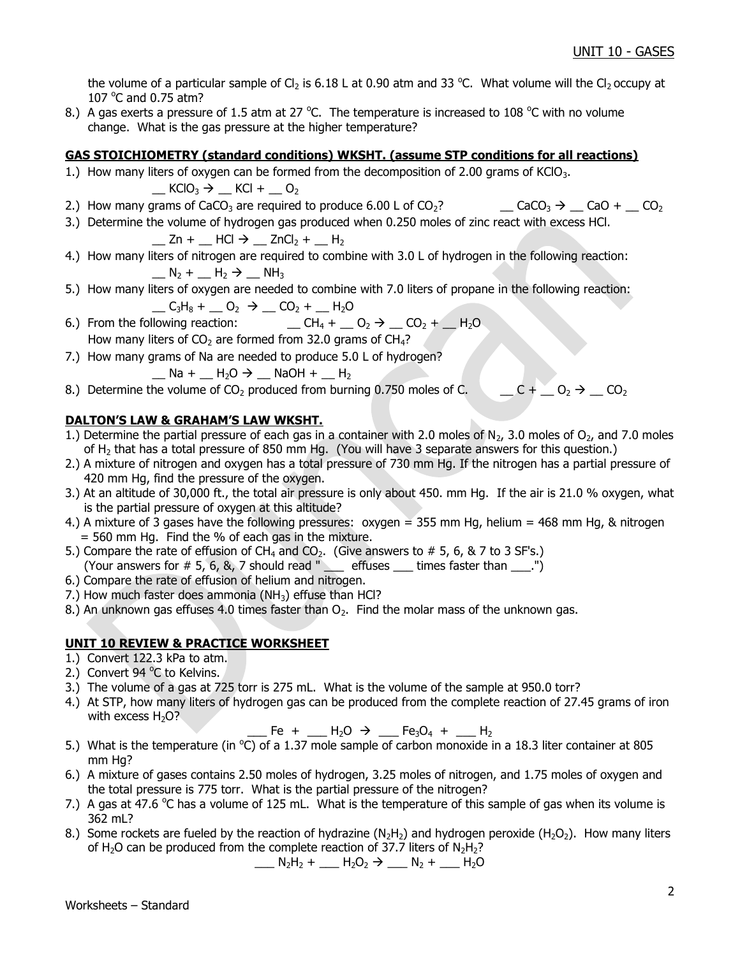the volume of a particular sample of Cl<sub>2</sub> is 6.18 L at 0.90 atm and 33 °C. What volume will the Cl<sub>2</sub> occupy at 107 $\degree$ C and 0.75 atm?

8.) A gas exerts a pressure of 1.5 atm at 27 °C. The temperature is increased to 108 °C with no volume change. What is the gas pressure at the higher temperature?

## **GAS STOICHIOMETRY (standard conditions) WKSHT. (assume STP conditions for all reactions)**

1.) How many liters of oxygen can be formed from the decomposition of 2.00 grams of KClO<sub>3</sub>.

 $\underline{\phantom{a}}$  KClO<sub>3</sub>  $\rightarrow$   $\underline{\phantom{a}}$  KCl +  $\underline{\phantom{a}}$  O<sub>2</sub>

- 2.) How many grams of CaCO<sub>3</sub> are required to produce 6.00 L of CO<sub>2</sub>?  $\qquad \qquad \qquad$  CaCO<sub>3</sub>  $\rightarrow \qquad$  CaO +  $\qquad$  CO<sub>2</sub>
- 3.) Determine the volume of hydrogen gas produced when 0.250 moles of zinc react with excess HCl.

$$
\_ Zn + \_ HCl \rightarrow \_ ZnCl_2 + \_ H_2
$$

- 4.) How many liters of nitrogen are required to combine with 3.0 L of hydrogen in the following reaction:  $N_2$  +  $H_2$   $\rightarrow$  NH<sub>3</sub>
- 5.) How many liters of oxygen are needed to combine with 7.0 liters of propane in the following reaction:  $C_3H_8 + C_2 \rightarrow C_2 + H_2O$
- 6.) From the following reaction:  $\qquad \qquad \qquad \qquad \qquad \qquad \qquad \text{CH}_4 + \qquad \text{O}_2 \rightarrow \qquad \text{CO}_2 + \qquad \text{H}_2\text{O}$ How many liters of  $CO<sub>2</sub>$  are formed from 32.0 grams of  $CH<sub>4</sub>$ ?

7.) How many grams of Na are needed to produce 5.0 L of hydrogen?

$$
\_\_Na + \_\_H_2O \rightarrow \_\_NaOH + \_\_H_2
$$

8.) Determine the volume of CO<sub>2</sub> produced from burning 0.750 moles of C.  $C_1 \cup C_2 \rightarrow C_2$ 

# **DALTON'S LAW & GRAHAM'S LAW WKSHT.**

- 1.) Determine the partial pressure of each gas in a container with 2.0 moles of N<sub>2</sub>, 3.0 moles of O<sub>2</sub>, and 7.0 moles of H<sup>2</sup> that has a total pressure of 850 mm Hg. (You will have 3 separate answers for this question.)
- 2.) A mixture of nitrogen and oxygen has a total pressure of 730 mm Hg. If the nitrogen has a partial pressure of 420 mm Hg, find the pressure of the oxygen.
- 3.) At an altitude of 30,000 ft., the total air pressure is only about 450. mm Hg. If the air is 21.0 % oxygen, what is the partial pressure of oxygen at this altitude?
- 4.) A mixture of 3 gases have the following pressures:  $oxygen = 355$  mm Hg, helium = 468 mm Hg, & nitrogen  $= 560$  mm Hg. Find the % of each gas in the mixture.
- 5.) Compare the rate of effusion of CH<sub>4</sub> and CO<sub>2</sub>. (Give answers to  $# 5, 6, 8, 7$  to 3 SF's.) (Your answers for  $# 5, 6, 8, 7$  should read " $\_\_$  effuses  $\_\_$  times faster than  $\_\_$ .")
- 6.) Compare the rate of effusion of helium and nitrogen.
- 7.) How much faster does ammonia ( $NH<sub>3</sub>$ ) effuse than HCl?
- 8.) An unknown gas effuses 4.0 times faster than  $O<sub>2</sub>$ . Find the molar mass of the unknown gas.

# **UNIT 10 REVIEW & PRACTICE WORKSHEET**

- 1.) Convert 122.3 kPa to atm.
- 2.) Convert 94 °C to Kelvins.
- 3.) The volume of a gas at 725 torr is 275 mL. What is the volume of the sample at 950.0 torr?
- 4.) At STP, how many liters of hydrogen gas can be produced from the complete reaction of 27.45 grams of iron with excess  $H_2O$ ?

 $E = Fe + \_$  H<sub>2</sub>O  $\rightarrow \_$  Fe<sub>3</sub>O<sub>4</sub> +  $\_$  H<sub>2</sub>

- 5.) What is the temperature (in  $^{\circ}$ C) of a 1.37 mole sample of carbon monoxide in a 18.3 liter container at 805 mm Hg?
- 6.) A mixture of gases contains 2.50 moles of hydrogen, 3.25 moles of nitrogen, and 1.75 moles of oxygen and the total pressure is 775 torr. What is the partial pressure of the nitrogen?
- 7.) A gas at 47.6  $\degree$ C has a volume of 125 mL. What is the temperature of this sample of gas when its volume is 362 mL?
- 8.) Some rockets are fueled by the reaction of hydrazine (N<sub>2</sub>H<sub>2</sub>) and hydrogen peroxide (H<sub>2</sub>O<sub>2</sub>). How many liters of H<sub>2</sub>O can be produced from the complete reaction of 37.7 liters of N<sub>2</sub>H<sub>2</sub>?

$$
N_2H_2 + M_2O_2 \rightarrow N_2 + M_2O
$$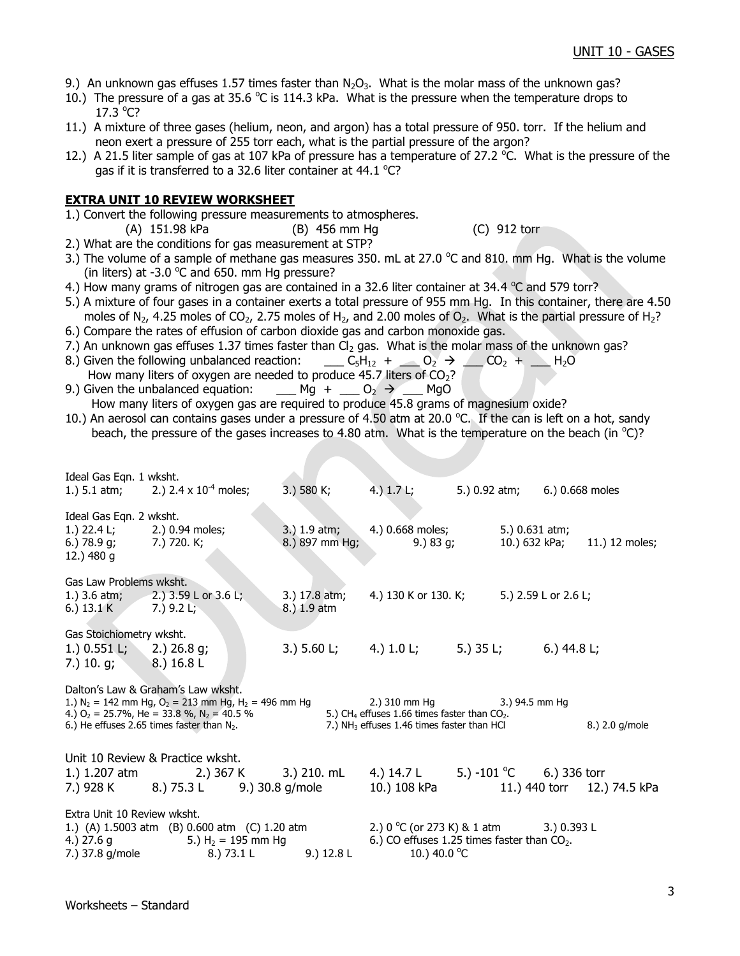- 9.) An unknown gas effuses 1.57 times faster than  $N_2O_3$ . What is the molar mass of the unknown gas?
- 10.) The pressure of a gas at 35.6  $\degree$ C is 114.3 kPa. What is the pressure when the temperature drops to  $17.3 °C?$
- 11.) A mixture of three gases (helium, neon, and argon) has a total pressure of 950. torr. If the helium and neon exert a pressure of 255 torr each, what is the partial pressure of the argon?
- 12.) A 21.5 liter sample of gas at 107 kPa of pressure has a temperature of 27.2  $\degree$ C. What is the pressure of the gas if it is transferred to a 32.6 liter container at  $44.1 \text{ °C}$ ?

## **EXTRA UNIT 10 REVIEW WORKSHEET**

- 1.) Convert the following pressure measurements to atmospheres.
	- (A) 151.98 kPa (B) 456 mm Hg (C) 912 torr
- 2.) What are the conditions for gas measurement at STP?
- 3.) The volume of a sample of methane gas measures 350. mL at 27.0  $^{\circ}$ C and 810. mm Hg. What is the volume (in liters) at -3.0  $^{\circ}$ C and 650. mm Hg pressure?
- 4.) How many grams of nitrogen gas are contained in a 32.6 liter container at 34.4  $^{\circ}$ C and 579 torr?
- 5.) A mixture of four gases in a container exerts a total pressure of 955 mm Hg. In this container, there are 4.50 moles of N<sub>2</sub>, 4.25 moles of CO<sub>2</sub>, 2.75 moles of H<sub>2</sub>, and 2.00 moles of O<sub>2</sub>. What is the partial pressure of H<sub>2</sub>?
- 6.) Compare the rates of effusion of carbon dioxide gas and carbon monoxide gas.
- 7.) An unknown gas effuses 1.37 times faster than  $Cl<sub>2</sub>$  gas. What is the molar mass of the unknown gas?
- 8.) Given the following unbalanced reaction: \_\_\_ C<sub>5</sub>H<sub>12</sub> + \_\_ O<sub>2</sub>  $\rightarrow$  \_\_ CO<sub>2</sub> + \_\_ H<sub>2</sub>O How many liters of oxygen are needed to produce  $45.7$  liters of  $CO<sub>2</sub>$ ?
- 9.) Given the unbalanced equation: \_\_\_\_ Mg + \_\_\_ O<sub>2</sub>  $\rightarrow$  \_\_\_ MgO
- How many liters of oxygen gas are required to produce 45.8 grams of magnesium oxide?
- 10.) An aerosol can contains gases under a pressure of 4.50 atm at 20.0 °C. If the can is left on a hot, sandy beach, the pressure of the gases increases to 4.80 atm. What is the temperature on the beach (in  $^{\circ}$ C)?

| Ideal Gas Eqn. 1 wksht.                                                                                                                                                                                                                                                                                                                                                        | 1.) 5.1 atm; 2.) 2.4 x $10^{-4}$ moles;                                                                                                             | 3.) 580 K;                     | 4.) $1.7 L;$                                                                             | 5.) 0.92 atm;                             | 6.) 0.668 moles                                   |
|--------------------------------------------------------------------------------------------------------------------------------------------------------------------------------------------------------------------------------------------------------------------------------------------------------------------------------------------------------------------------------|-----------------------------------------------------------------------------------------------------------------------------------------------------|--------------------------------|------------------------------------------------------------------------------------------|-------------------------------------------|---------------------------------------------------|
| Ideal Gas Eqn. 2 wksht.<br>1.) 22.4 L; 2.) 0.94 moles;<br>$6.)$ 78.9 q;<br>12.) 480 g                                                                                                                                                                                                                                                                                          | 7.) 720. K;                                                                                                                                         | 3.) 1.9 atm;<br>8.) 897 mm Hg; | 4.) 0.668 moles;<br>9.) 83 g;                                                            |                                           | 5.) 0.631 atm;<br>10.) 632 kPa;<br>11.) 12 moles; |
| Gas Law Problems wksht.<br>6.) $13.1 \text{ K}$ 7.) $9.2 \text{ L}$ ;                                                                                                                                                                                                                                                                                                          | 1.) 3.6 atm; 2.) 3.59 L or 3.6 L;                                                                                                                   | 3.) 17.8 atm;<br>8.) 1.9 atm   |                                                                                          | 4.) 130 K or 130. K; 5.) 2.59 L or 2.6 L; |                                                   |
| Gas Stoichiometry wksht.<br>1.) $0.551$ L; 2.) $26.8$ g;<br>7.) 10. g; 8.) 16.8 L                                                                                                                                                                                                                                                                                              |                                                                                                                                                     |                                | 3.) $5.60 \text{ L}$ ; 4.) $1.0 \text{ L}$ ; 5.) $35 \text{ L}$ ; 6.) $44.8 \text{ L}$ ; |                                           |                                                   |
| Dalton's Law & Graham's Law wksht.<br>1.) $N_2 = 142$ mm Hg, $O_2 = 213$ mm Hg, H <sub>2</sub> = 496 mm Hg<br>2.) 310 mm Hg 3.) 94.5 mm Hg<br>5.) CH <sub>4</sub> effuses 1.66 times faster than CO <sub>2</sub> .<br>4.) $O_2$ = 25.7%, He = 33.8 %, N <sub>2</sub> = 40.5 %<br>6.) He effuses 2.65 times faster than $N_2$ .<br>7.) $NH3$ effuses 1.46 times faster than HCl |                                                                                                                                                     |                                |                                                                                          |                                           | 8.) 2.0 g/mole                                    |
|                                                                                                                                                                                                                                                                                                                                                                                | Unit 10 Review & Practice wksht.<br>1.) 1.207 atm 2.) 367 K 3.) 210. mL 4.) 14.7 L 5.) -101 °C 6.) 336 torr<br>7.) 928 K 8.) 75.3 L 9.) 30.8 g/mole |                                | 10.) 108 kPa                                                                             |                                           | 11.) 440 torr 12.) 74.5 kPa                       |
| Extra Unit 10 Review wksht.<br>1.) (A) 1.5003 atm (B) 0.600 atm (C) 1.20 atm 2.) 0 °C (or 273 K) & 1 atm 3.) 0.393 L<br>4.) $27.6 g$<br>5.) $H_2 = 195$ mm Hg<br>8.) 73.1 L 9.) 12.8 L<br>7.) 37.8 g/mole                                                                                                                                                                      |                                                                                                                                                     |                                | 6.) CO effuses 1.25 times faster than $CO2$ .<br>10.) 40.0 °C                            |                                           |                                                   |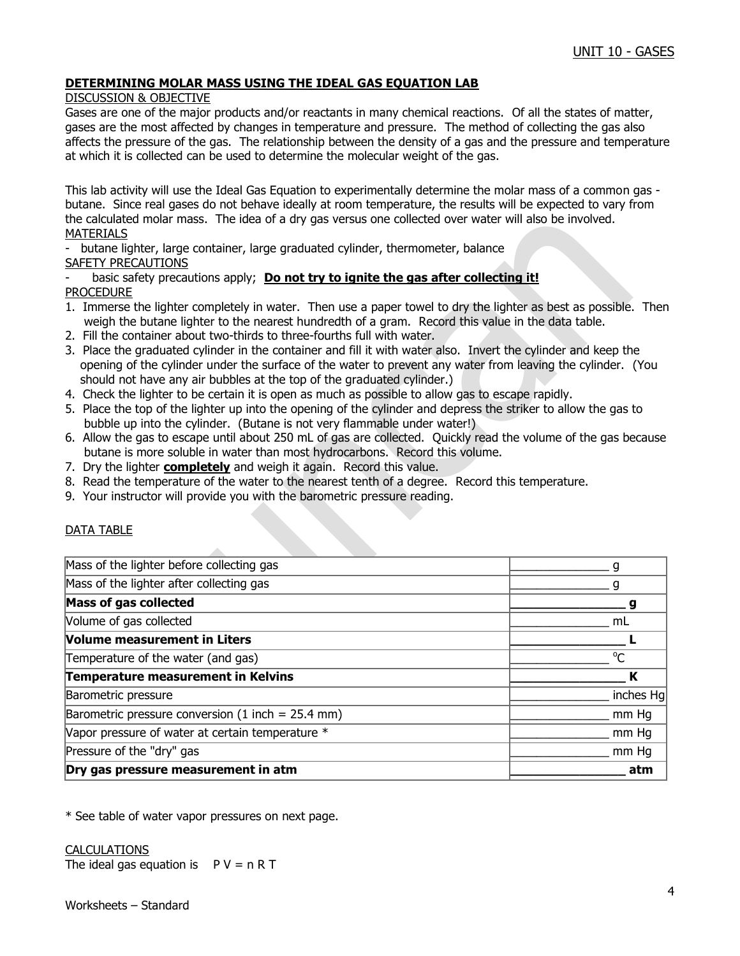## **DETERMINING MOLAR MASS USING THE IDEAL GAS EQUATION LAB**

### DISCUSSION & OBJECTIVE

Gases are one of the major products and/or reactants in many chemical reactions. Of all the states of matter, gases are the most affected by changes in temperature and pressure. The method of collecting the gas also affects the pressure of the gas. The relationship between the density of a gas and the pressure and temperature at which it is collected can be used to determine the molecular weight of the gas.

This lab activity will use the Ideal Gas Equation to experimentally determine the molar mass of a common gas butane. Since real gases do not behave ideally at room temperature, the results will be expected to vary from the calculated molar mass. The idea of a dry gas versus one collected over water will also be involved. MATERIALS

butane lighter, large container, large graduated cylinder, thermometer, balance SAFETY PRECAUTIONS

basic safety precautions apply; **Do not try to ignite the gas after collecting it!** PROCEDURE

- 1. Immerse the lighter completely in water. Then use a paper towel to dry the lighter as best as possible. Then weigh the butane lighter to the nearest hundredth of a gram. Record this value in the data table.
- 2. Fill the container about two-thirds to three-fourths full with water.
- 3. Place the graduated cylinder in the container and fill it with water also. Invert the cylinder and keep the opening of the cylinder under the surface of the water to prevent any water from leaving the cylinder. (You should not have any air bubbles at the top of the graduated cylinder.)
- 4. Check the lighter to be certain it is open as much as possible to allow gas to escape rapidly.
- 5. Place the top of the lighter up into the opening of the cylinder and depress the striker to allow the gas to bubble up into the cylinder. (Butane is not very flammable under water!)
- 6. Allow the gas to escape until about 250 mL of gas are collected. Quickly read the volume of the gas because butane is more soluble in water than most hydrocarbons. Record this volume.
- 7. Dry the lighter **completely** and weigh it again. Record this value.
- 8. Read the temperature of the water to the nearest tenth of a degree. Record this temperature.
- 9. Your instructor will provide you with the barometric pressure reading.

### DATA TABLE

| Dry gas pressure measurement in atm                 | atm       |
|-----------------------------------------------------|-----------|
| Pressure of the "dry" gas                           | mm Hg     |
| Vapor pressure of water at certain temperature *    | mm Hg     |
| Barometric pressure conversion (1 inch = $25.4$ mm) | mm Hq     |
| Barometric pressure                                 | inches Hg |
| Temperature measurement in Kelvins                  |           |
| Temperature of the water (and gas)                  | $\Omega$  |
| Volume measurement in Liters                        |           |
| Volume of gas collected                             | mL        |
| Mass of gas collected                               |           |
| Mass of the lighter after collecting gas            |           |
| Mass of the lighter before collecting gas           |           |

\* See table of water vapor pressures on next page.

### **CALCULATIONS**

The ideal gas equation is  $P V = n R T$